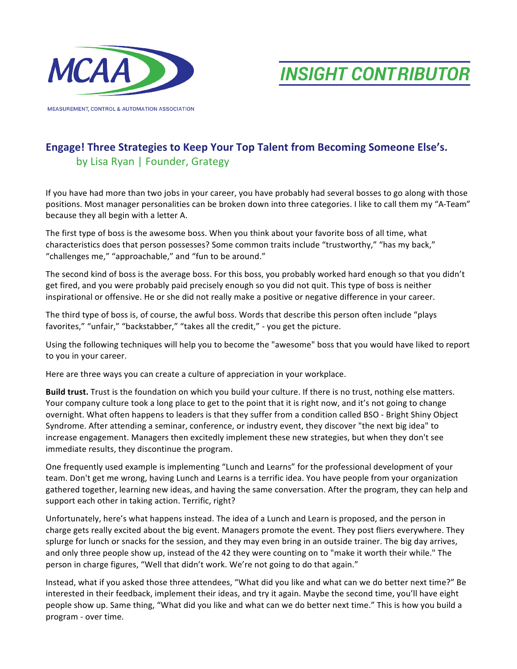

**MEASUREMENT, CONTROL & AUTOMATION ASSOCIATION** 

**INSIGHT CONTRIBUTOR** 

## **Engage! Three Strategies to Keep Your Top Talent from Becoming Someone Else's.** by Lisa Ryan | Founder, Grategy

If you have had more than two jobs in your career, you have probably had several bosses to go along with those positions. Most manager personalities can be broken down into three categories. I like to call them my "A-Team" because they all begin with a letter A.

The first type of boss is the awesome boss. When you think about your favorite boss of all time, what characteristics does that person possesses? Some common traits include "trustworthy," "has my back," "challenges me," "approachable," and "fun to be around."

The second kind of boss is the average boss. For this boss, you probably worked hard enough so that you didn't get fired, and you were probably paid precisely enough so you did not quit. This type of boss is neither inspirational or offensive. He or she did not really make a positive or negative difference in your career.

The third type of boss is, of course, the awful boss. Words that describe this person often include "plays favorites," "unfair," "backstabber," "takes all the credit," - you get the picture.

Using the following techniques will help you to become the "awesome" boss that you would have liked to report to you in your career.

Here are three ways you can create a culture of appreciation in your workplace.

**Build trust.** Trust is the foundation on which you build your culture. If there is no trust, nothing else matters. Your company culture took a long place to get to the point that it is right now, and it's not going to change overnight. What often happens to leaders is that they suffer from a condition called BSO - Bright Shiny Object Syndrome. After attending a seminar, conference, or industry event, they discover "the next big idea" to increase engagement. Managers then excitedly implement these new strategies, but when they don't see immediate results, they discontinue the program.

One frequently used example is implementing "Lunch and Learns" for the professional development of your team. Don't get me wrong, having Lunch and Learns is a terrific idea. You have people from your organization gathered together, learning new ideas, and having the same conversation. After the program, they can help and support each other in taking action. Terrific, right?

Unfortunately, here's what happens instead. The idea of a Lunch and Learn is proposed, and the person in charge gets really excited about the big event. Managers promote the event. They post fliers everywhere. They splurge for lunch or snacks for the session, and they may even bring in an outside trainer. The big day arrives, and only three people show up, instead of the 42 they were counting on to "make it worth their while." The person in charge figures, "Well that didn't work. We're not going to do that again."

Instead, what if you asked those three attendees, "What did you like and what can we do better next time?" Be interested in their feedback, implement their ideas, and try it again. Maybe the second time, you'll have eight people show up. Same thing, "What did you like and what can we do better next time." This is how you build a program - over time.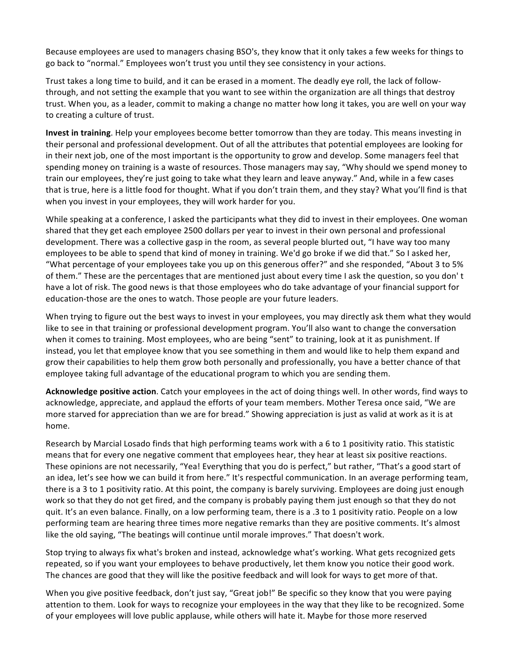Because employees are used to managers chasing BSO's, they know that it only takes a few weeks for things to go back to "normal." Employees won't trust you until they see consistency in your actions.

Trust takes a long time to build, and it can be erased in a moment. The deadly eye roll, the lack of followthrough, and not setting the example that you want to see within the organization are all things that destroy trust. When you, as a leader, commit to making a change no matter how long it takes, you are well on your way to creating a culture of trust.

**Invest in training**. Help your employees become better tomorrow than they are today. This means investing in their personal and professional development. Out of all the attributes that potential employees are looking for in their next job, one of the most important is the opportunity to grow and develop. Some managers feel that spending money on training is a waste of resources. Those managers may say, "Why should we spend money to train our employees, they're just going to take what they learn and leave anyway." And, while in a few cases that is true, here is a little food for thought. What if you don't train them, and they stay? What you'll find is that when you invest in your employees, they will work harder for you.

While speaking at a conference, I asked the participants what they did to invest in their employees. One woman shared that they get each employee 2500 dollars per year to invest in their own personal and professional development. There was a collective gasp in the room, as several people blurted out, "I have way too many employees to be able to spend that kind of money in training. We'd go broke if we did that." So I asked her, "What percentage of your employees take you up on this generous offer?" and she responded, "About 3 to 5% of them." These are the percentages that are mentioned just about every time I ask the question, so you don't have a lot of risk. The good news is that those employees who do take advantage of your financial support for education-those are the ones to watch. Those people are your future leaders.

When trying to figure out the best ways to invest in your employees, you may directly ask them what they would like to see in that training or professional development program. You'll also want to change the conversation when it comes to training. Most employees, who are being "sent" to training, look at it as punishment. If instead, you let that employee know that you see something in them and would like to help them expand and grow their capabilities to help them grow both personally and professionally, you have a better chance of that employee taking full advantage of the educational program to which you are sending them.

**Acknowledge positive action**. Catch your employees in the act of doing things well. In other words, find ways to acknowledge, appreciate, and applaud the efforts of your team members. Mother Teresa once said, "We are more starved for appreciation than we are for bread." Showing appreciation is just as valid at work as it is at home. 

Research by Marcial Losado finds that high performing teams work with a 6 to 1 positivity ratio. This statistic means that for every one negative comment that employees hear, they hear at least six positive reactions. These opinions are not necessarily, "Yea! Everything that you do is perfect," but rather, "That's a good start of an idea, let's see how we can build it from here." It's respectful communication. In an average performing team, there is a 3 to 1 positivity ratio. At this point, the company is barely surviving. Employees are doing just enough work so that they do not get fired, and the company is probably paying them just enough so that they do not quit. It's an even balance. Finally, on a low performing team, there is a .3 to 1 positivity ratio. People on a low performing team are hearing three times more negative remarks than they are positive comments. It's almost like the old saying, "The beatings will continue until morale improves." That doesn't work.

Stop trying to always fix what's broken and instead, acknowledge what's working. What gets recognized gets repeated, so if you want your employees to behave productively, let them know you notice their good work. The chances are good that they will like the positive feedback and will look for ways to get more of that.

When you give positive feedback, don't just say, "Great job!" Be specific so they know that you were paying attention to them. Look for ways to recognize your employees in the way that they like to be recognized. Some of your employees will love public applause, while others will hate it. Maybe for those more reserved